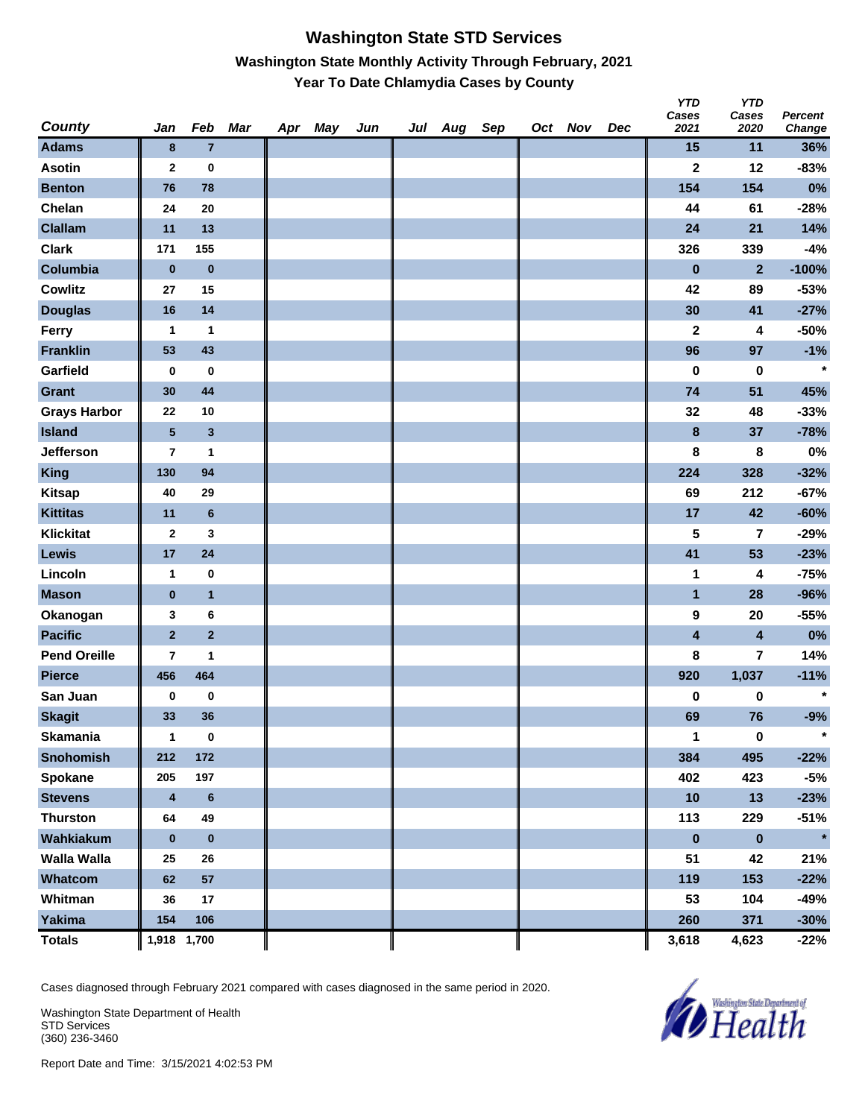### **Washington State STD Services Washington State Monthly Activity Through February, 2021 Year To Date Chlamydia Cases by County**

| <b>County</b>       | Jan                     | Feb             | Mar | Apr | May | Jun | Jul Aug | Sep | Oct Nov | Dec | <b>YTD</b><br>Cases<br>2021 | <b>YTD</b><br>Cases<br>2020 | Percent<br><b>Change</b> |
|---------------------|-------------------------|-----------------|-----|-----|-----|-----|---------|-----|---------|-----|-----------------------------|-----------------------------|--------------------------|
| <b>Adams</b>        | 8                       | $\overline{7}$  |     |     |     |     |         |     |         |     | 15                          | 11                          | 36%                      |
| <b>Asotin</b>       | $\mathbf{2}$            | $\bf{0}$        |     |     |     |     |         |     |         |     | $\mathbf 2$                 | 12                          | $-83%$                   |
| <b>Benton</b>       | 76                      | 78              |     |     |     |     |         |     |         |     | 154                         | 154                         | 0%                       |
| Chelan              | 24                      | 20              |     |     |     |     |         |     |         |     | 44                          | 61                          | $-28%$                   |
| <b>Clallam</b>      | 11                      | 13              |     |     |     |     |         |     |         |     | 24                          | 21                          | 14%                      |
| <b>Clark</b>        | 171                     | 155             |     |     |     |     |         |     |         |     | 326                         | 339                         | $-4%$                    |
| Columbia            | $\bf{0}$                | $\bf{0}$        |     |     |     |     |         |     |         |     | $\pmb{0}$                   | $\overline{2}$              | $-100%$                  |
| <b>Cowlitz</b>      | 27                      | 15              |     |     |     |     |         |     |         |     | 42                          | 89                          | $-53%$                   |
| <b>Douglas</b>      | 16                      | 14              |     |     |     |     |         |     |         |     | 30                          | 41                          | $-27%$                   |
| Ferry               | 1                       | 1               |     |     |     |     |         |     |         |     | $\mathbf 2$                 | 4                           | $-50%$                   |
| <b>Franklin</b>     | 53                      | 43              |     |     |     |     |         |     |         |     | 96                          | 97                          | $-1%$                    |
| Garfield            | 0                       | $\bf{0}$        |     |     |     |     |         |     |         |     | 0                           | $\pmb{0}$                   | $\star$                  |
| <b>Grant</b>        | 30                      | 44              |     |     |     |     |         |     |         |     | 74                          | 51                          | 45%                      |
| <b>Grays Harbor</b> | 22                      | 10              |     |     |     |     |         |     |         |     | 32                          | 48                          | $-33%$                   |
| <b>Island</b>       | $\overline{\mathbf{5}}$ | $\mathbf{3}$    |     |     |     |     |         |     |         |     | $\bf{8}$                    | 37                          | $-78%$                   |
| Jefferson           | 7                       | $\mathbf{1}$    |     |     |     |     |         |     |         |     | 8                           | 8                           | $0\%$                    |
| <b>King</b>         | 130                     | 94              |     |     |     |     |         |     |         |     | 224                         | 328                         | $-32%$                   |
| <b>Kitsap</b>       | 40                      | 29              |     |     |     |     |         |     |         |     | 69                          | 212                         | $-67%$                   |
| <b>Kittitas</b>     | 11                      | $6\phantom{1}6$ |     |     |     |     |         |     |         |     | 17                          | 42                          | $-60%$                   |
| <b>Klickitat</b>    | $\mathbf{2}$            | 3               |     |     |     |     |         |     |         |     | 5                           | 7                           | $-29%$                   |
| Lewis               | 17                      | ${\bf 24}$      |     |     |     |     |         |     |         |     | 41                          | 53                          | $-23%$                   |
| Lincoln             | $\mathbf{1}$            | $\bf{0}$        |     |     |     |     |         |     |         |     | 1                           | 4                           | $-75%$                   |
| <b>Mason</b>        | $\pmb{0}$               | $\mathbf{1}$    |     |     |     |     |         |     |         |     | $\mathbf{1}$                | 28                          | -96%                     |
| Okanogan            | 3                       | 6               |     |     |     |     |         |     |         |     | 9                           | 20                          | $-55%$                   |
| <b>Pacific</b>      | $\overline{2}$          | $\mathbf 2$     |     |     |     |     |         |     |         |     | $\overline{\mathbf{4}}$     | $\overline{\mathbf{4}}$     | 0%                       |
| <b>Pend Oreille</b> | 7                       | 1               |     |     |     |     |         |     |         |     | 8                           | 7                           | 14%                      |
| <b>Pierce</b>       | 456                     | 464             |     |     |     |     |         |     |         |     | 920                         | 1,037                       | $-11%$                   |
| San Juan            | 0                       | $\pmb{0}$       |     |     |     |     |         |     |         |     | $\pmb{0}$                   | $\pmb{0}$                   | $\star$                  |
| <b>Skagit</b>       | 33                      | 36              |     |     |     |     |         |     |         |     | 69                          | 76                          | $-9%$                    |
| <b>Skamania</b>     | 1                       | $\bf{0}$        |     |     |     |     |         |     |         |     | 1                           | $\bf{0}$                    | $\star$                  |
| <b>Snohomish</b>    | 212                     | 172             |     |     |     |     |         |     |         |     | 384                         | 495                         | $-22%$                   |
| Spokane             | 205                     | 197             |     |     |     |     |         |     |         |     | 402                         | 423                         | $-5%$                    |
| <b>Stevens</b>      | $\overline{\mathbf{4}}$ | $\bf 6$         |     |     |     |     |         |     |         |     | 10                          | 13                          | $-23%$                   |
| <b>Thurston</b>     | 64                      | 49              |     |     |     |     |         |     |         |     | 113                         | 229                         | $-51%$                   |
| Wahkiakum           | $\bf{0}$                | $\pmb{0}$       |     |     |     |     |         |     |         |     | $\pmb{0}$                   | $\pmb{0}$                   | $\star$                  |
| <b>Walla Walla</b>  | 25                      | 26              |     |     |     |     |         |     |         |     | 51                          | 42                          | 21%                      |
| Whatcom             | 62                      | 57              |     |     |     |     |         |     |         |     | 119                         | 153                         | $-22%$                   |
| Whitman             | 36                      | 17              |     |     |     |     |         |     |         |     | 53                          | 104                         | -49%                     |
| <b>Yakima</b>       | 154                     | 106             |     |     |     |     |         |     |         |     | 260                         | 371                         | $-30%$                   |
| <b>Totals</b>       | 1,918 1,700             |                 |     |     |     |     |         |     |         |     | 3,618                       | 4,623                       | $-22%$                   |

Cases diagnosed through February 2021 compared with cases diagnosed in the same period in 2020.

Washington State Department of Health STD Services (360) 236-3460

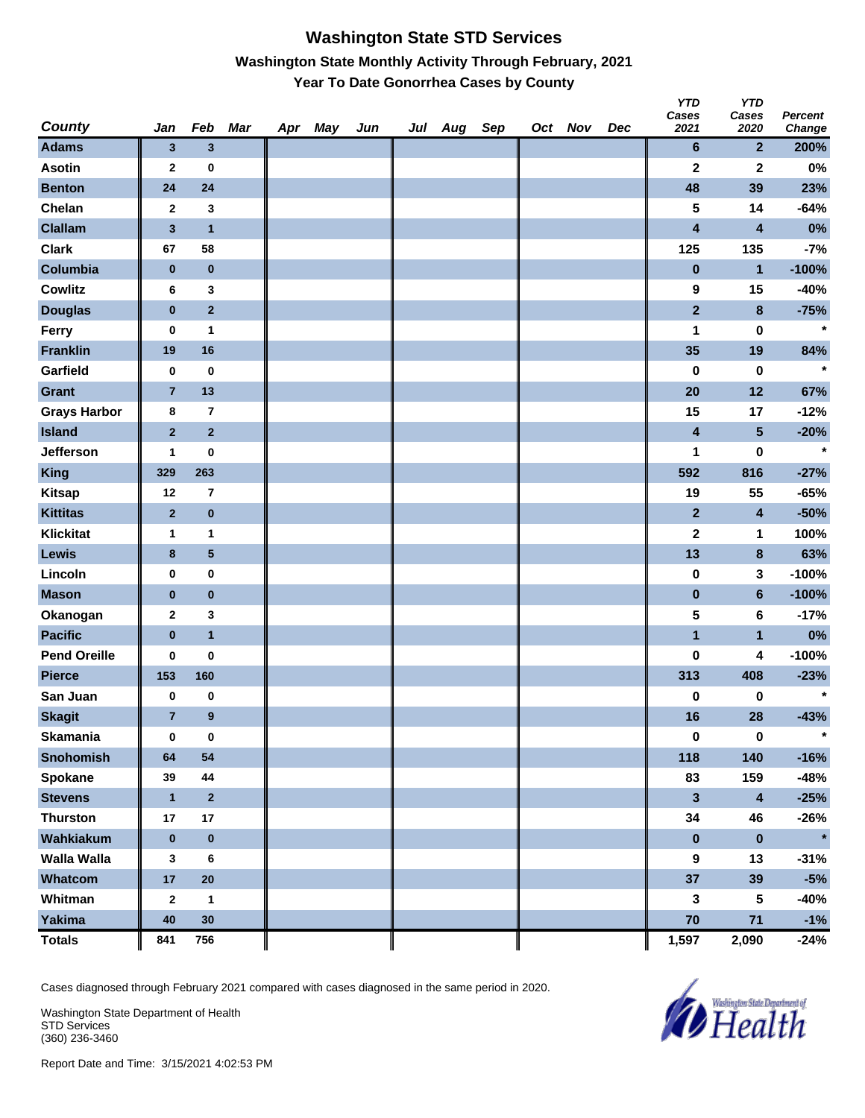## **Washington State STD Services Washington State Monthly Activity Through February, 2021 Year To Date Gonorrhea Cases by County**

| <b>County</b>       | Jan            | Feb             | Mar | Apr May | Jun | Jul Aug Sep |  | Oct Nov | Dec | טוץ<br>Cases<br>2021 | טוץ<br>Cases<br>2020    | Percent<br>Change |
|---------------------|----------------|-----------------|-----|---------|-----|-------------|--|---------|-----|----------------------|-------------------------|-------------------|
| <b>Adams</b>        | $\mathbf{3}$   | $\mathbf{3}$    |     |         |     |             |  |         |     | 6                    | $\mathbf{2}$            | 200%              |
| <b>Asotin</b>       | $\mathbf{2}$   | 0               |     |         |     |             |  |         |     | $\mathbf 2$          | $\mathbf 2$             | $0\%$             |
| <b>Benton</b>       | 24             | 24              |     |         |     |             |  |         |     | 48                   | 39                      | 23%               |
| Chelan              | $\mathbf{2}$   | 3               |     |         |     |             |  |         |     | 5                    | 14                      | $-64%$            |
| <b>Clallam</b>      | $\mathbf 3$    | $\mathbf{1}$    |     |         |     |             |  |         |     | 4                    | 4                       | 0%                |
| <b>Clark</b>        | 67             | 58              |     |         |     |             |  |         |     | 125                  | 135                     | $-7%$             |
| Columbia            | $\pmb{0}$      | $\pmb{0}$       |     |         |     |             |  |         |     | $\bf{0}$             | $\blacksquare$          | $-100%$           |
| <b>Cowlitz</b>      | 6              | 3               |     |         |     |             |  |         |     | 9                    | 15                      | -40%              |
| <b>Douglas</b>      | $\bf{0}$       | $\mathbf{2}$    |     |         |     |             |  |         |     | $\mathbf{2}$         | 8                       | $-75%$            |
| Ferry               | $\pmb{0}$      | 1               |     |         |     |             |  |         |     | 1                    | 0                       | $\star$           |
| <b>Franklin</b>     | 19             | 16              |     |         |     |             |  |         |     | 35                   | 19                      | 84%               |
| Garfield            | $\pmb{0}$      | $\pmb{0}$       |     |         |     |             |  |         |     | 0                    | 0                       | $\star$           |
| <b>Grant</b>        | $\overline{7}$ | 13              |     |         |     |             |  |         |     | 20                   | 12                      | 67%               |
| <b>Grays Harbor</b> | 8              | $\overline{7}$  |     |         |     |             |  |         |     | 15                   | 17                      | $-12%$            |
| <b>Island</b>       | $\mathbf{2}$   | $\overline{2}$  |     |         |     |             |  |         |     | 4                    | $\overline{\mathbf{5}}$ | $-20%$            |
| Jefferson           | 1              | 0               |     |         |     |             |  |         |     | 1                    | 0                       | $\star$           |
| <b>King</b>         | 329            | 263             |     |         |     |             |  |         |     | 592                  | 816                     | $-27%$            |
| <b>Kitsap</b>       | 12             | 7               |     |         |     |             |  |         |     | 19                   | 55                      | $-65%$            |
| <b>Kittitas</b>     | $\mathbf{2}$   | $\pmb{0}$       |     |         |     |             |  |         |     | $\mathbf{2}$         | 4                       | $-50%$            |
| <b>Klickitat</b>    | 1              | $\mathbf{1}$    |     |         |     |             |  |         |     | $\mathbf{2}$         | 1                       | 100%              |
| Lewis               | $\bf{8}$       | $5\phantom{.0}$ |     |         |     |             |  |         |     | 13                   | 8                       | 63%               |
| Lincoln             | 0              | 0               |     |         |     |             |  |         |     | 0                    | 3                       | $-100%$           |
| <b>Mason</b>        | $\bf{0}$       | $\pmb{0}$       |     |         |     |             |  |         |     | $\pmb{0}$            | $6\phantom{a}$          | $-100%$           |
| Okanogan            | $\mathbf{2}$   | 3               |     |         |     |             |  |         |     | 5                    | 6                       | $-17%$            |
| <b>Pacific</b>      | $\pmb{0}$      | $\mathbf{1}$    |     |         |     |             |  |         |     | $\mathbf{1}$         | $\mathbf{1}$            | 0%                |
| <b>Pend Oreille</b> | 0              | 0               |     |         |     |             |  |         |     | 0                    | 4                       | $-100%$           |
| <b>Pierce</b>       | 153            | 160             |     |         |     |             |  |         |     | 313                  | 408                     | $-23%$            |
| San Juan            | 0              | 0               |     |         |     |             |  |         |     | 0                    | 0                       | $\star$           |
| <b>Skagit</b>       | $\overline{7}$ | 9               |     |         |     |             |  |         |     | 16                   | 28                      | $-43%$            |
| Skamania            | 0              | $\mathbf 0$     |     |         |     |             |  |         |     | $\pmb{0}$            | $\mathbf 0$             | $\star$           |
| <b>Snohomish</b>    | 64             | 54              |     |         |     |             |  |         |     | 118                  | 140                     | $-16%$            |
| Spokane             | 39             | 44              |     |         |     |             |  |         |     | 83                   | 159                     | -48%              |
| <b>Stevens</b>      | $\mathbf{1}$   | $\mathbf 2$     |     |         |     |             |  |         |     | 3                    | 4                       | $-25%$            |
| <b>Thurston</b>     | 17             | 17              |     |         |     |             |  |         |     | 34                   | 46                      | $-26%$            |
| Wahkiakum           | $\pmb{0}$      | $\pmb{0}$       |     |         |     |             |  |         |     | $\pmb{0}$            | $\pmb{0}$               | $\star$           |
| <b>Walla Walla</b>  | 3              | 6               |     |         |     |             |  |         |     | 9                    | 13                      | $-31%$            |
| Whatcom             | $17\,$         | ${\bf 20}$      |     |         |     |             |  |         |     | 37                   | 39                      | $-5%$             |
| Whitman             | $\mathbf{2}$   | $\mathbf{1}$    |     |         |     |             |  |         |     | 3                    | 5                       | -40%              |
| Yakima              | 40             | 30              |     |         |     |             |  |         |     | 70                   | 71                      | $-1%$             |
| <b>Totals</b>       | 841            | 756             |     |         |     |             |  |         |     | 1,597                | 2,090                   | $-24%$            |

Cases diagnosed through February 2021 compared with cases diagnosed in the same period in 2020.

Washington State Department of Health STD Services (360) 236-3460



*Y* 

*YTD*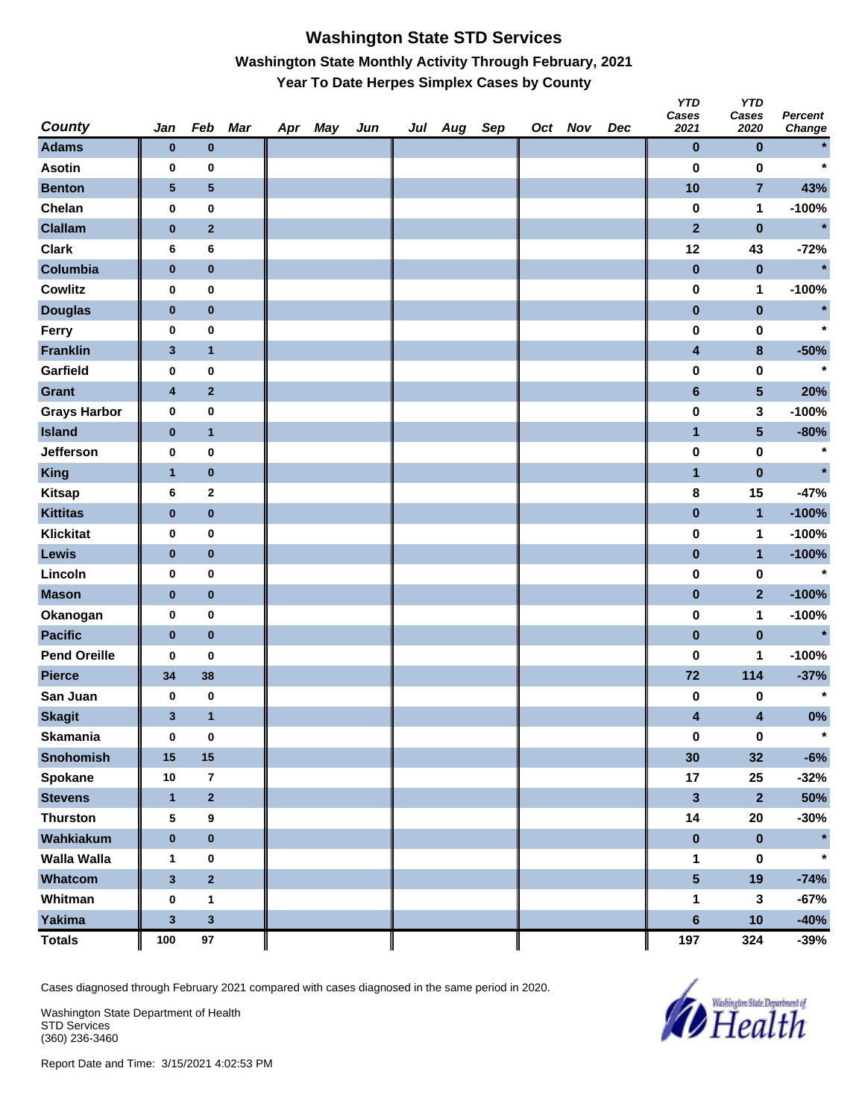# **Washington State STD Services Washington State Monthly Activity Through February, 2021 Year To Date Herpes Simplex Cases by County**

| <b>County</b>       | Jan                     | Feb              | Mar | Apr May | Jun | Jul Aug Sep |  | Oct Nov | Dec | <b>YTD</b><br>Cases<br>2021 | <b>YTD</b><br>Cases<br>2020 | <b>Percent</b><br><b>Change</b> |
|---------------------|-------------------------|------------------|-----|---------|-----|-------------|--|---------|-----|-----------------------------|-----------------------------|---------------------------------|
| <b>Adams</b>        | $\bf{0}$                | $\bf{0}$         |     |         |     |             |  |         |     | $\pmb{0}$                   | $\pmb{0}$                   |                                 |
| <b>Asotin</b>       | 0                       | $\pmb{0}$        |     |         |     |             |  |         |     | $\bf{0}$                    | $\bf{0}$                    | $\star$                         |
| <b>Benton</b>       | $\sqrt{5}$              | 5                |     |         |     |             |  |         |     | 10                          | $\overline{7}$              | 43%                             |
| Chelan              | 0                       | $\pmb{0}$        |     |         |     |             |  |         |     | $\pmb{0}$                   | $\mathbf{1}$                | $-100%$                         |
| <b>Clallam</b>      | $\pmb{0}$               | $\mathbf 2$      |     |         |     |             |  |         |     | $\overline{2}$              | $\pmb{0}$                   | $\star$                         |
| <b>Clark</b>        | 6                       | 6                |     |         |     |             |  |         |     | 12                          | 43                          | $-72%$                          |
| Columbia            | $\pmb{0}$               | $\pmb{0}$        |     |         |     |             |  |         |     | $\pmb{0}$                   | $\pmb{0}$                   | $\star$                         |
| <b>Cowlitz</b>      | 0                       | $\bf{0}$         |     |         |     |             |  |         |     | $\pmb{0}$                   | 1                           | $-100%$                         |
| <b>Douglas</b>      | $\bf{0}$                | $\pmb{0}$        |     |         |     |             |  |         |     | $\pmb{0}$                   | $\pmb{0}$                   | $\star$                         |
| Ferry               | 0                       | $\pmb{0}$        |     |         |     |             |  |         |     | 0                           | $\pmb{0}$                   | $\star$                         |
| <b>Franklin</b>     | $\mathbf{3}$            | $\mathbf{1}$     |     |         |     |             |  |         |     | 4                           | $\pmb{8}$                   | $-50%$                          |
| Garfield            | 0                       | $\pmb{0}$        |     |         |     |             |  |         |     | $\pmb{0}$                   | 0                           | $\star$                         |
| Grant               | $\overline{\mathbf{4}}$ | $\mathbf{2}$     |     |         |     |             |  |         |     | $\bf 6$                     | $5\phantom{.0}$             | 20%                             |
| <b>Grays Harbor</b> | $\bf{0}$                | $\pmb{0}$        |     |         |     |             |  |         |     | $\pmb{0}$                   | 3                           | $-100%$                         |
| <b>Island</b>       | $\pmb{0}$               | $\mathbf{1}$     |     |         |     |             |  |         |     | $\overline{\mathbf{1}}$     | $5\phantom{.0}$             | $-80%$                          |
| Jefferson           | 0                       | 0                |     |         |     |             |  |         |     | $\pmb{0}$                   | $\pmb{0}$                   | $\star$                         |
| <b>King</b>         | $\mathbf{1}$            | $\pmb{0}$        |     |         |     |             |  |         |     | $\mathbf{1}$                | $\pmb{0}$                   | $\star$                         |
| <b>Kitsap</b>       | 6                       | $\mathbf{2}$     |     |         |     |             |  |         |     | 8                           | 15                          | $-47%$                          |
| <b>Kittitas</b>     | $\bf{0}$                | $\pmb{0}$        |     |         |     |             |  |         |     | $\pmb{0}$                   | $\mathbf{1}$                | $-100%$                         |
| <b>Klickitat</b>    | 0                       | $\pmb{0}$        |     |         |     |             |  |         |     | 0                           | $\mathbf{1}$                | $-100%$                         |
| Lewis               | $\bf{0}$                | $\pmb{0}$        |     |         |     |             |  |         |     | $\pmb{0}$                   | $\mathbf{1}$                | $-100%$                         |
| Lincoln             | 0                       | $\pmb{0}$        |     |         |     |             |  |         |     | $\pmb{0}$                   | $\pmb{0}$                   | $\star$                         |
| <b>Mason</b>        | $\pmb{0}$               | $\pmb{0}$        |     |         |     |             |  |         |     | $\pmb{0}$                   | $\mathbf{2}$                | $-100%$                         |
| Okanogan            | $\bf{0}$                | $\pmb{0}$        |     |         |     |             |  |         |     | $\pmb{0}$                   | 1                           | $-100%$                         |
| <b>Pacific</b>      | $\pmb{0}$               | $\pmb{0}$        |     |         |     |             |  |         |     | $\pmb{0}$                   | $\pmb{0}$                   | $\star$                         |
| <b>Pend Oreille</b> | 0                       | 0                |     |         |     |             |  |         |     | 0                           | 1                           | $-100%$                         |
| <b>Pierce</b>       | 34                      | 38               |     |         |     |             |  |         |     | 72                          | 114                         | $-37%$                          |
| San Juan            | 0                       | $\pmb{0}$        |     |         |     |             |  |         |     | 0                           | 0                           | $\star$                         |
| <b>Skagit</b>       | $\mathbf{3}$            | $\mathbf{1}$     |     |         |     |             |  |         |     | 4                           | 4                           | 0%                              |
| <b>Skamania</b>     | $\bf{0}$                | $\pmb{0}$        |     |         |     |             |  |         |     | $\pmb{0}$                   | $\pmb{0}$                   | $\star$                         |
| <b>Snohomish</b>    | 15                      | $15\phantom{.0}$ |     |         |     |             |  |         |     | 30                          | 32                          | $-6%$                           |
| Spokane             | $10\,$                  | $\overline{7}$   |     |         |     |             |  |         |     | 17                          | 25                          | $-32%$                          |
| <b>Stevens</b>      | $\mathbf{1}$            | $\mathbf 2$      |     |         |     |             |  |         |     | $\mathbf{3}$                | $\overline{\mathbf{2}}$     | 50%                             |
| <b>Thurston</b>     | $\sqrt{5}$              | 9                |     |         |     |             |  |         |     | 14                          | 20                          | $-30%$                          |
| Wahkiakum           | $\pmb{0}$               | $\pmb{0}$        |     |         |     |             |  |         |     | $\pmb{0}$                   | $\pmb{0}$                   |                                 |
| Walla Walla         | 1                       | 0                |     |         |     |             |  |         |     | $\mathbf 1$                 | 0                           | $\star$                         |
| Whatcom             | $\mathbf{3}$            | $\overline{2}$   |     |         |     |             |  |         |     | $5\phantom{.0}$             | 19                          | $-74%$                          |
| Whitman             | $\bf{0}$                | $\mathbf{1}$     |     |         |     |             |  |         |     | 1                           | $\mathbf{3}$                | $-67%$                          |
| <b>Yakima</b>       | $\mathbf{3}$            | $\mathbf{3}$     |     |         |     |             |  |         |     | $6\phantom{a}$              | 10                          | $-40%$                          |
| <b>Totals</b>       | 100                     | $97\,$           |     |         |     |             |  |         |     | 197                         | 324                         | $-39%$                          |

Cases diagnosed through February 2021 compared with cases diagnosed in the same period in 2020.

Washington State Department of Health STD Services (360) 236-3460

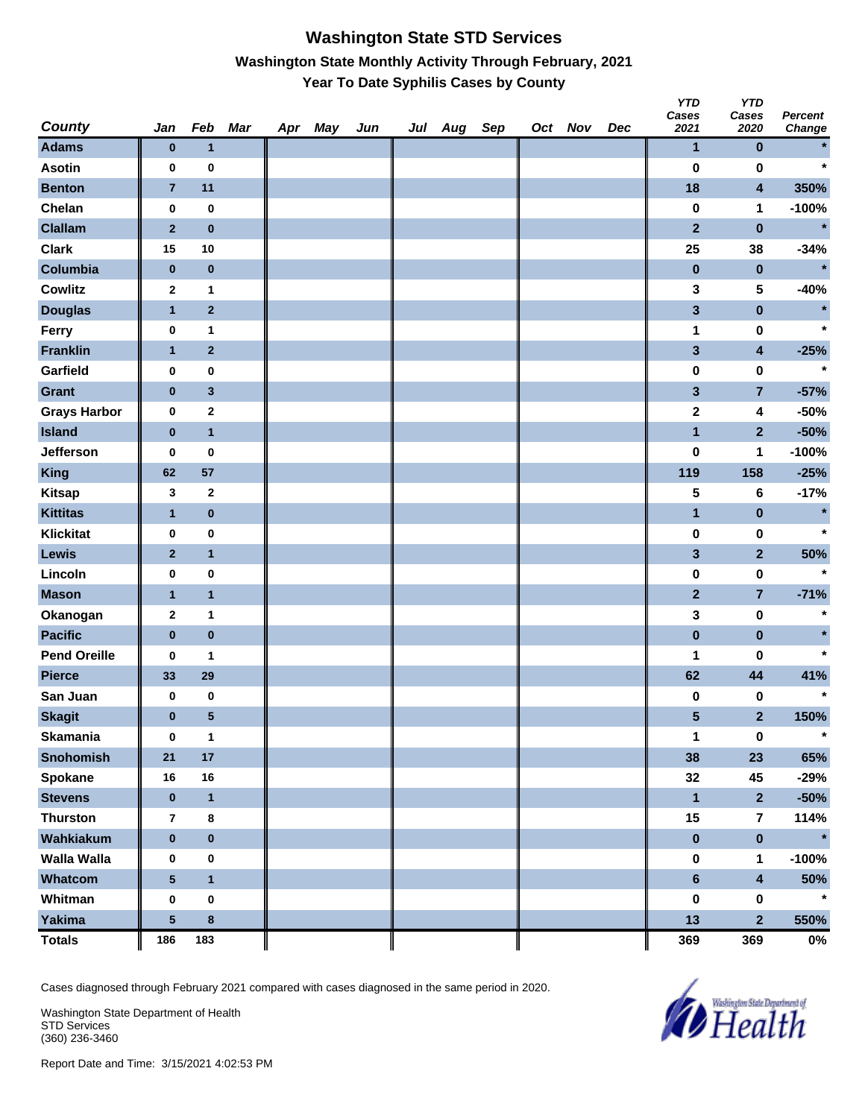### **Washington State STD Services Washington State Monthly Activity Through February, 2021 Year To Date Syphilis Cases by County**

| <b>County</b>       | Jan             | Feb            | <b>Mar</b> | Apr | May | Jun | Jul Aug | Sep | Oct Nov | Dec | <b>YTD</b><br>Cases<br>2021 | <b>YTD</b><br>Cases<br>2020 | <b>Percent</b><br><b>Change</b> |
|---------------------|-----------------|----------------|------------|-----|-----|-----|---------|-----|---------|-----|-----------------------------|-----------------------------|---------------------------------|
| <b>Adams</b>        | $\pmb{0}$       | $\mathbf{1}$   |            |     |     |     |         |     |         |     | $\mathbf{1}$                | $\pmb{0}$                   |                                 |
| <b>Asotin</b>       | 0               | $\bf{0}$       |            |     |     |     |         |     |         |     | 0                           | 0                           | $\star$                         |
| <b>Benton</b>       | $\overline{7}$  | 11             |            |     |     |     |         |     |         |     | 18                          | 4                           | 350%                            |
| Chelan              | 0               | $\pmb{0}$      |            |     |     |     |         |     |         |     | 0                           | 1                           | $-100%$                         |
| <b>Clallam</b>      | $\mathbf 2$     | $\bf{0}$       |            |     |     |     |         |     |         |     | $\overline{\mathbf{2}}$     | $\pmb{0}$                   | $\star$                         |
| <b>Clark</b>        | 15              | 10             |            |     |     |     |         |     |         |     | 25                          | 38                          | $-34%$                          |
| Columbia            | $\pmb{0}$       | $\bf{0}$       |            |     |     |     |         |     |         |     | $\pmb{0}$                   | $\pmb{0}$                   | $\star$                         |
| <b>Cowlitz</b>      | $\mathbf{2}$    | $\mathbf{1}$   |            |     |     |     |         |     |         |     | 3                           | 5                           | $-40%$                          |
| <b>Douglas</b>      | $\mathbf{1}$    | $\overline{2}$ |            |     |     |     |         |     |         |     | 3                           | $\pmb{0}$                   | $\star$                         |
| Ferry               | 0               | 1              |            |     |     |     |         |     |         |     | 1                           | 0                           | $\star$                         |
| <b>Franklin</b>     | $\mathbf{1}$    | $\overline{2}$ |            |     |     |     |         |     |         |     | 3                           | 4                           | $-25%$                          |
| Garfield            | 0               | $\pmb{0}$      |            |     |     |     |         |     |         |     | 0                           | 0                           | $\star$                         |
| Grant               | $\pmb{0}$       | $\mathbf 3$    |            |     |     |     |         |     |         |     | 3                           | $\overline{7}$              | $-57%$                          |
| <b>Grays Harbor</b> | 0               | $\mathbf 2$    |            |     |     |     |         |     |         |     | $\mathbf 2$                 | 4                           | $-50%$                          |
| <b>Island</b>       | $\pmb{0}$       | $\mathbf{1}$   |            |     |     |     |         |     |         |     | $\overline{\mathbf{1}}$     | $\overline{2}$              | $-50%$                          |
| Jefferson           | 0               | $\pmb{0}$      |            |     |     |     |         |     |         |     | 0                           | 1                           | $-100%$                         |
| <b>King</b>         | 62              | 57             |            |     |     |     |         |     |         |     | 119                         | 158                         | $-25%$                          |
| <b>Kitsap</b>       | 3               | $\mathbf 2$    |            |     |     |     |         |     |         |     | 5                           | 6                           | $-17%$                          |
| <b>Kittitas</b>     | $\mathbf{1}$    | $\bf{0}$       |            |     |     |     |         |     |         |     | $\mathbf{1}$                | $\pmb{0}$                   | $\star$                         |
| <b>Klickitat</b>    | 0               | $\pmb{0}$      |            |     |     |     |         |     |         |     | $\pmb{0}$                   | 0                           | $\star$                         |
| Lewis               | $\mathbf{2}$    | $\mathbf{1}$   |            |     |     |     |         |     |         |     | 3                           | $\mathbf{2}$                | 50%                             |
| Lincoln             | 0               | $\pmb{0}$      |            |     |     |     |         |     |         |     | $\pmb{0}$                   | 0                           | $\star$                         |
| <b>Mason</b>        | $\mathbf{1}$    | $\mathbf{1}$   |            |     |     |     |         |     |         |     | $\overline{2}$              | $\overline{7}$              | $-71%$                          |
| Okanogan            | $\mathbf 2$     | 1              |            |     |     |     |         |     |         |     | 3                           | 0                           | $\star$                         |
| <b>Pacific</b>      | $\pmb{0}$       | $\pmb{0}$      |            |     |     |     |         |     |         |     | $\pmb{0}$                   | $\pmb{0}$                   | $\star$                         |
| <b>Pend Oreille</b> | 0               | $\mathbf{1}$   |            |     |     |     |         |     |         |     | 1                           | 0                           | $\star$                         |
| <b>Pierce</b>       | 33              | 29             |            |     |     |     |         |     |         |     | 62                          | 44                          | 41%                             |
| San Juan            | 0               | $\pmb{0}$      |            |     |     |     |         |     |         |     | 0                           | 0                           | $\star$                         |
| <b>Skagit</b>       | $\pmb{0}$       | 5              |            |     |     |     |         |     |         |     | 5                           | $\mathbf{2}$                | 150%                            |
| <b>Skamania</b>     | 0               | $\mathbf{1}$   |            |     |     |     |         |     |         |     | 1                           | $\pmb{0}$                   | $\star$                         |
| <b>Snohomish</b>    | 21              | $17\,$         |            |     |     |     |         |     |         |     | 38                          | 23                          | 65%                             |
| Spokane             | 16              | 16             |            |     |     |     |         |     |         |     | 32                          | 45                          | $-29%$                          |
| <b>Stevens</b>      | $\bf{0}$        | $\mathbf{1}$   |            |     |     |     |         |     |         |     | $\mathbf{1}$                | $\overline{2}$              | $-50%$                          |
| <b>Thurston</b>     | 7               | 8              |            |     |     |     |         |     |         |     | 15                          | $\overline{\mathbf{7}}$     | 114%                            |
| Wahkiakum           | $\pmb{0}$       | $\pmb{0}$      |            |     |     |     |         |     |         |     | $\pmb{0}$                   | $\pmb{0}$                   | $\star$                         |
| <b>Walla Walla</b>  | 0               | $\pmb{0}$      |            |     |     |     |         |     |         |     | 0                           | 1                           | $-100%$                         |
| Whatcom             | $5\phantom{.0}$ | $\mathbf{1}$   |            |     |     |     |         |     |         |     | $6\phantom{a}$              | 4                           | 50%                             |
| Whitman             | 0               | $\pmb{0}$      |            |     |     |     |         |     |         |     | 0                           | $\pmb{0}$                   | $\star$                         |
| Yakima              | ${\bf 5}$       | $\bf8$         |            |     |     |     |         |     |         |     | 13                          | $\overline{2}$              | 550%                            |
| <b>Totals</b>       | 186             | 183            |            |     |     |     |         |     |         |     | 369                         | 369                         | $0\%$                           |

Cases diagnosed through February 2021 compared with cases diagnosed in the same period in 2020.

Washington State Department of Health STD Services (360) 236-3460

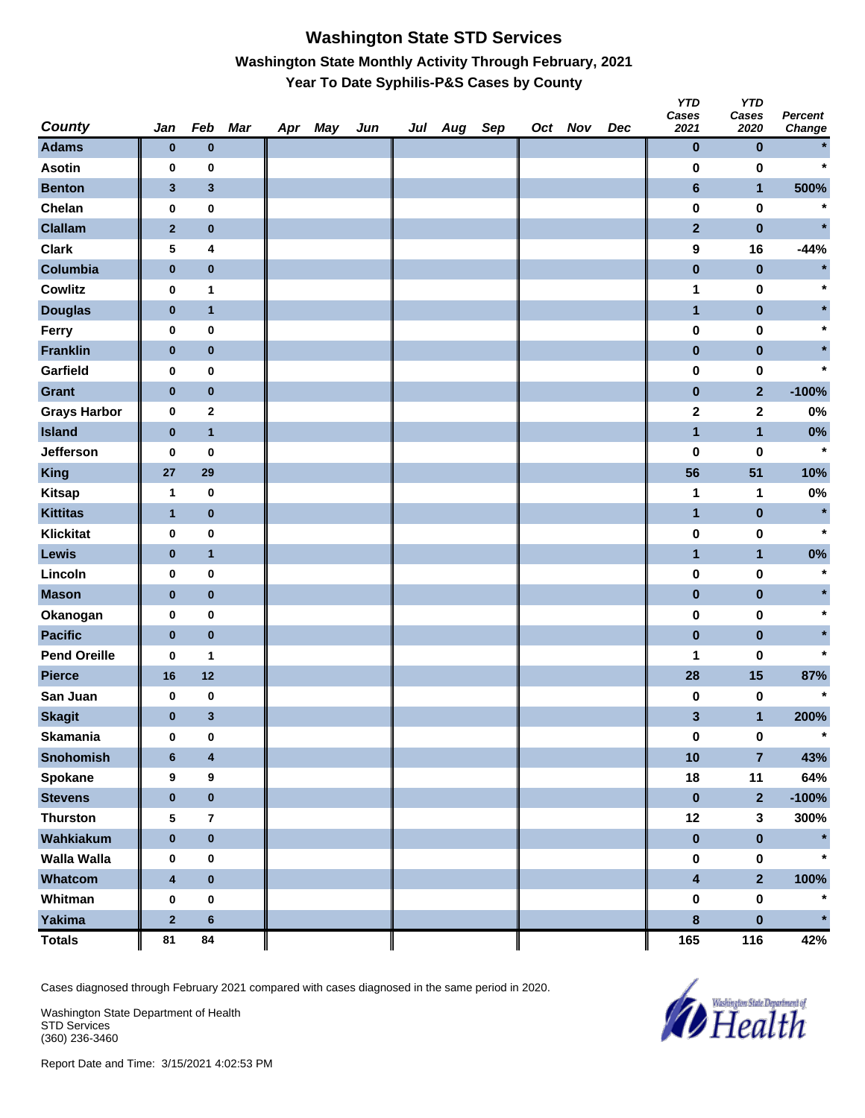# **Washington State STD Services Washington State Monthly Activity Through February, 2021 Year To Date Syphilis-P&S Cases by County**

| <b>County</b>       | Jan                     | Feb                     | Mar | Apr May | Jun | Jul Aug Sep |  | Oct Nov | Dec | <b>YTD</b><br>Cases<br>2021 | <b>YTD</b><br>Cases<br>2020 | <b>Percent</b><br><b>Change</b> |
|---------------------|-------------------------|-------------------------|-----|---------|-----|-------------|--|---------|-----|-----------------------------|-----------------------------|---------------------------------|
| <b>Adams</b>        | $\bf{0}$                | $\bf{0}$                |     |         |     |             |  |         |     | $\pmb{0}$                   | $\bf{0}$                    |                                 |
| <b>Asotin</b>       | 0                       | 0                       |     |         |     |             |  |         |     | $\bf{0}$                    | $\bf{0}$                    | $\star$                         |
| <b>Benton</b>       | $\mathbf{3}$            | $\mathbf{3}$            |     |         |     |             |  |         |     | $\bf 6$                     | $\mathbf{1}$                | 500%                            |
| Chelan              | $\pmb{0}$               | $\pmb{0}$               |     |         |     |             |  |         |     | $\pmb{0}$                   | $\pmb{0}$                   | $\ast$                          |
| <b>Clallam</b>      | $\mathbf{2}$            | $\pmb{0}$               |     |         |     |             |  |         |     | $\overline{2}$              | $\pmb{0}$                   | $\star$                         |
| <b>Clark</b>        | 5                       | 4                       |     |         |     |             |  |         |     | 9                           | 16                          | $-44%$                          |
| Columbia            | $\pmb{0}$               | $\pmb{0}$               |     |         |     |             |  |         |     | $\pmb{0}$                   | $\pmb{0}$                   | $\star$                         |
| <b>Cowlitz</b>      | 0                       | 1                       |     |         |     |             |  |         |     | 1                           | $\pmb{0}$                   | $\ast$                          |
| <b>Douglas</b>      | $\pmb{0}$               | $\mathbf{1}$            |     |         |     |             |  |         |     | $\mathbf{1}$                | $\pmb{0}$                   |                                 |
| Ferry               | 0                       | $\pmb{0}$               |     |         |     |             |  |         |     | $\pmb{0}$                   | $\pmb{0}$                   |                                 |
| <b>Franklin</b>     | $\bf{0}$                | $\pmb{0}$               |     |         |     |             |  |         |     | $\pmb{0}$                   | $\pmb{0}$                   |                                 |
| Garfield            | 0                       | $\pmb{0}$               |     |         |     |             |  |         |     | $\bf{0}$                    | 0                           | $\star$                         |
| <b>Grant</b>        | $\bf{0}$                | $\pmb{0}$               |     |         |     |             |  |         |     | $\pmb{0}$                   | $\mathbf{2}$                | $-100%$                         |
| <b>Grays Harbor</b> | $\pmb{0}$               | $\mathbf 2$             |     |         |     |             |  |         |     | $\mathbf 2$                 | $\mathbf 2$                 | 0%                              |
| <b>Island</b>       | $\bf{0}$                | $\mathbf{1}$            |     |         |     |             |  |         |     | $\overline{\mathbf{1}}$     | $\mathbf{1}$                | $0\%$                           |
| <b>Jefferson</b>    | 0                       | $\pmb{0}$               |     |         |     |             |  |         |     | 0                           | 0                           | $\star$                         |
| <b>King</b>         | 27                      | 29                      |     |         |     |             |  |         |     | 56                          | 51                          | 10%                             |
| <b>Kitsap</b>       | 1                       | $\bf{0}$                |     |         |     |             |  |         |     | 1                           | 1                           | 0%                              |
| <b>Kittitas</b>     | $\mathbf{1}$            | $\bf{0}$                |     |         |     |             |  |         |     | $\mathbf{1}$                | $\pmb{0}$                   | $\star$                         |
| <b>Klickitat</b>    | $\pmb{0}$               | $\pmb{0}$               |     |         |     |             |  |         |     | $\pmb{0}$                   | 0                           | $\star$                         |
| Lewis               | $\bf{0}$                | $\mathbf{1}$            |     |         |     |             |  |         |     | $\mathbf{1}$                | $\mathbf{1}$                | $0\%$                           |
| Lincoln             | 0                       | $\pmb{0}$               |     |         |     |             |  |         |     | $\bf{0}$                    | 0                           | $\star$                         |
| <b>Mason</b>        | $\bf{0}$                | $\pmb{0}$               |     |         |     |             |  |         |     | $\pmb{0}$                   | $\pmb{0}$                   |                                 |
| Okanogan            | $\pmb{0}$               | $\pmb{0}$               |     |         |     |             |  |         |     | $\pmb{0}$                   | $\pmb{0}$                   | $\star$                         |
| <b>Pacific</b>      | $\bf{0}$                | $\pmb{0}$               |     |         |     |             |  |         |     | $\pmb{0}$                   | $\pmb{0}$                   |                                 |
| <b>Pend Oreille</b> | 0                       | 1                       |     |         |     |             |  |         |     | 1                           | 0                           | $\star$                         |
| <b>Pierce</b>       | 16                      | $12$                    |     |         |     |             |  |         |     | 28                          | 15                          | 87%                             |
| San Juan            | 0                       | $\pmb{0}$               |     |         |     |             |  |         |     | 0                           | 0                           | $\star$                         |
| <b>Skagit</b>       | $\bf{0}$                | $\mathbf{3}$            |     |         |     |             |  |         |     | $\mathbf{3}$                | $\mathbf{1}$                | 200%                            |
| <b>Skamania</b>     | $\pmb{0}$               | $\pmb{0}$               |     |         |     |             |  |         |     | $\pmb{0}$                   | $\pmb{0}$                   | $\star$                         |
| Snohomish           | $6\phantom{1}$          | $\overline{\mathbf{4}}$ |     |         |     |             |  |         |     | 10                          | $\overline{\mathbf{7}}$     | 43%                             |
| Spokane             | 9                       | 9                       |     |         |     |             |  |         |     | 18                          | 11                          | 64%                             |
| <b>Stevens</b>      | $\pmb{0}$               | $\pmb{0}$               |     |         |     |             |  |         |     | $\pmb{0}$                   | $\overline{\mathbf{2}}$     | $-100%$                         |
| <b>Thurston</b>     | ${\bf 5}$               | $\bf 7$                 |     |         |     |             |  |         |     | 12                          | $\mathbf{3}$                | 300%                            |
| Wahkiakum           | $\pmb{0}$               | $\pmb{0}$               |     |         |     |             |  |         |     | $\pmb{0}$                   | $\pmb{0}$                   | $\star$                         |
| Walla Walla         | 0                       | $\pmb{0}$               |     |         |     |             |  |         |     | $\pmb{0}$                   | $\pmb{0}$                   | $\star$                         |
| Whatcom             | $\overline{\mathbf{4}}$ | $\pmb{0}$               |     |         |     |             |  |         |     | $\overline{\mathbf{4}}$     | $\overline{2}$              | 100%                            |
| Whitman             | $\pmb{0}$               | $\pmb{0}$               |     |         |     |             |  |         |     | $\pmb{0}$                   | $\pmb{0}$                   | $\star$                         |
| <b>Yakima</b>       | $\mathbf 2$             | $\bf 6$                 |     |         |     |             |  |         |     | $\bf8$                      | $\pmb{0}$                   | $\star$                         |
| <b>Totals</b>       | 81                      | 84                      |     |         |     |             |  |         |     | 165                         | 116                         | 42%                             |

Cases diagnosed through February 2021 compared with cases diagnosed in the same period in 2020.

Washington State Department of Health STD Services (360) 236-3460

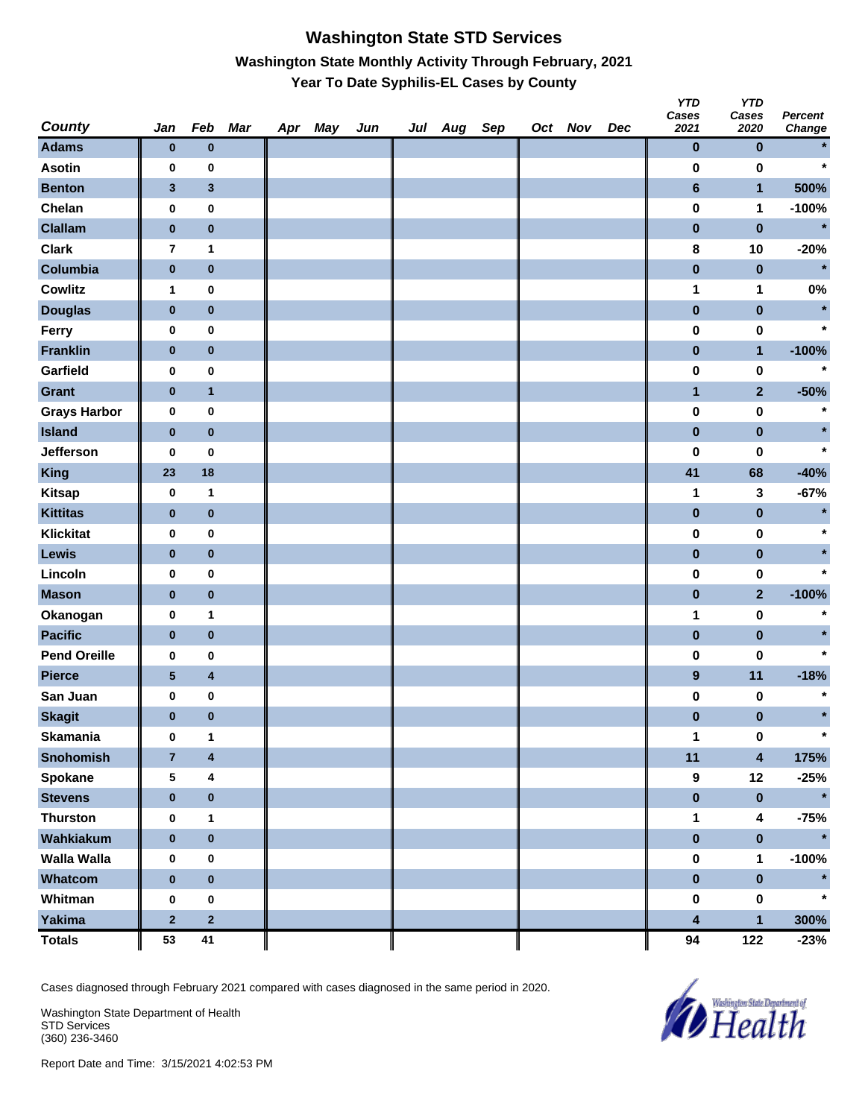# **Washington State STD Services Washington State Monthly Activity Through February, 2021 Year To Date Syphilis-EL Cases by County**

| <b>County</b>       | Jan                     | Feb            | Mar | Apr May | Jun | Jul Aug Sep |  | Oct Nov | Dec | <b>YTD</b><br>Cases<br>2021 | <b>YTD</b><br>Cases<br>2020 | <b>Percent</b><br>Change |
|---------------------|-------------------------|----------------|-----|---------|-----|-------------|--|---------|-----|-----------------------------|-----------------------------|--------------------------|
| <b>Adams</b>        | $\bf{0}$                | $\bf{0}$       |     |         |     |             |  |         |     | $\pmb{0}$                   | $\pmb{0}$                   |                          |
| <b>Asotin</b>       | 0                       | $\pmb{0}$      |     |         |     |             |  |         |     | $\bf{0}$                    | $\bf{0}$                    | $\star$                  |
| <b>Benton</b>       | $\mathbf{3}$            | $\mathbf 3$    |     |         |     |             |  |         |     | $\bf 6$                     | $\mathbf{1}$                | 500%                     |
| Chelan              | $\bf{0}$                | $\pmb{0}$      |     |         |     |             |  |         |     | $\pmb{0}$                   | 1                           | $-100%$                  |
| <b>Clallam</b>      | $\pmb{0}$               | $\pmb{0}$      |     |         |     |             |  |         |     | $\pmb{0}$                   | $\pmb{0}$                   | $\star$                  |
| <b>Clark</b>        | $\overline{7}$          | $\mathbf{1}$   |     |         |     |             |  |         |     | $\pmb{8}$                   | 10                          | $-20%$                   |
| Columbia            | $\pmb{0}$               | $\pmb{0}$      |     |         |     |             |  |         |     | $\pmb{0}$                   | $\pmb{0}$                   | $\star$                  |
| Cowlitz             | 1                       | $\bf{0}$       |     |         |     |             |  |         |     | 1                           | 1                           | 0%                       |
| <b>Douglas</b>      | $\pmb{0}$               | $\pmb{0}$      |     |         |     |             |  |         |     | $\pmb{0}$                   | $\pmb{0}$                   | $\star$                  |
| Ferry               | 0                       | $\pmb{0}$      |     |         |     |             |  |         |     | 0                           | 0                           | $\star$                  |
| <b>Franklin</b>     | $\pmb{0}$               | $\pmb{0}$      |     |         |     |             |  |         |     | $\pmb{0}$                   | $\mathbf{1}$                | $-100%$                  |
| Garfield            | $\bf{0}$                | $\pmb{0}$      |     |         |     |             |  |         |     | $\pmb{0}$                   | $\pmb{0}$                   | $\star$                  |
| <b>Grant</b>        | $\pmb{0}$               | $\mathbf{1}$   |     |         |     |             |  |         |     | $\mathbf{1}$                | $\mathbf{2}$                | $-50%$                   |
| <b>Grays Harbor</b> | $\bf{0}$                | $\pmb{0}$      |     |         |     |             |  |         |     | $\pmb{0}$                   | $\pmb{0}$                   | $\star$                  |
| <b>Island</b>       | $\pmb{0}$               | $\pmb{0}$      |     |         |     |             |  |         |     | $\pmb{0}$                   | $\pmb{0}$                   |                          |
| Jefferson           | 0                       | 0              |     |         |     |             |  |         |     | $\pmb{0}$                   | 0                           | $\star$                  |
| <b>King</b>         | 23                      | 18             |     |         |     |             |  |         |     | 41                          | 68                          | $-40%$                   |
| <b>Kitsap</b>       | $\bf{0}$                | 1              |     |         |     |             |  |         |     | 1                           | 3                           | $-67%$                   |
| <b>Kittitas</b>     | $\pmb{0}$               | $\pmb{0}$      |     |         |     |             |  |         |     | $\pmb{0}$                   | $\pmb{0}$                   | $\star$                  |
| <b>Klickitat</b>    | 0                       | $\pmb{0}$      |     |         |     |             |  |         |     | 0                           | $\pmb{0}$                   |                          |
| Lewis               | $\bf{0}$                | $\pmb{0}$      |     |         |     |             |  |         |     | $\pmb{0}$                   | $\pmb{0}$                   |                          |
| Lincoln             | $\bf{0}$                | $\pmb{0}$      |     |         |     |             |  |         |     | $\pmb{0}$                   | 0                           | $\star$                  |
| <b>Mason</b>        | $\pmb{0}$               | $\pmb{0}$      |     |         |     |             |  |         |     | $\pmb{0}$                   | $\mathbf{2}$                | $-100%$                  |
| Okanogan            | $\bf{0}$                | 1              |     |         |     |             |  |         |     | 1                           | $\pmb{0}$                   | $\star$                  |
| <b>Pacific</b>      | $\pmb{0}$               | $\pmb{0}$      |     |         |     |             |  |         |     | $\pmb{0}$                   | $\pmb{0}$                   |                          |
| <b>Pend Oreille</b> | 0                       | 0              |     |         |     |             |  |         |     | $\pmb{0}$                   | 0                           | $\star$                  |
| <b>Pierce</b>       | ${\bf 5}$               | 4              |     |         |     |             |  |         |     | 9                           | 11                          | $-18%$                   |
| San Juan            | 0                       | $\pmb{0}$      |     |         |     |             |  |         |     | 0                           | 0                           | $\star$                  |
| <b>Skagit</b>       | $\bf{0}$                | $\bf{0}$       |     |         |     |             |  |         |     | $\pmb{0}$                   | $\pmb{0}$                   | $\star$                  |
| <b>Skamania</b>     | $\bf{0}$                | 1              |     |         |     |             |  |         |     | 1                           | $\pmb{0}$                   |                          |
| <b>Snohomish</b>    | $\overline{\mathbf{7}}$ | 4              |     |         |     |             |  |         |     | 11                          | $\overline{\mathbf{4}}$     | 175%                     |
| Spokane             | 5                       | 4              |     |         |     |             |  |         |     | 9                           | 12                          | $-25%$                   |
| <b>Stevens</b>      | $\pmb{0}$               | $\pmb{0}$      |     |         |     |             |  |         |     | $\pmb{0}$                   | $\pmb{0}$                   | $\star$                  |
| <b>Thurston</b>     | $\bf{0}$                | 1              |     |         |     |             |  |         |     | 1                           | $\overline{\mathbf{4}}$     | $-75%$                   |
| Wahkiakum           | $\pmb{0}$               | $\pmb{0}$      |     |         |     |             |  |         |     | $\pmb{0}$                   | $\pmb{0}$                   | $\star$                  |
| Walla Walla         | 0                       | 0              |     |         |     |             |  |         |     | $\pmb{0}$                   | $\mathbf 1$                 | $-100%$                  |
| Whatcom             | $\pmb{0}$               | $\pmb{0}$      |     |         |     |             |  |         |     | $\pmb{0}$                   | $\pmb{0}$                   |                          |
| Whitman             | $\bf{0}$                | $\pmb{0}$      |     |         |     |             |  |         |     | 0                           | $\pmb{0}$                   | $\star$                  |
| <b>Yakima</b>       | $\mathbf 2$             | $\overline{2}$ |     |         |     |             |  |         |     | 4                           | $\mathbf{1}$                | 300%                     |
| <b>Totals</b>       | 53                      | 41             |     |         |     |             |  |         |     | 94                          | 122                         | $-23%$                   |

Cases diagnosed through February 2021 compared with cases diagnosed in the same period in 2020.

Washington State Department of Health STD Services (360) 236-3460

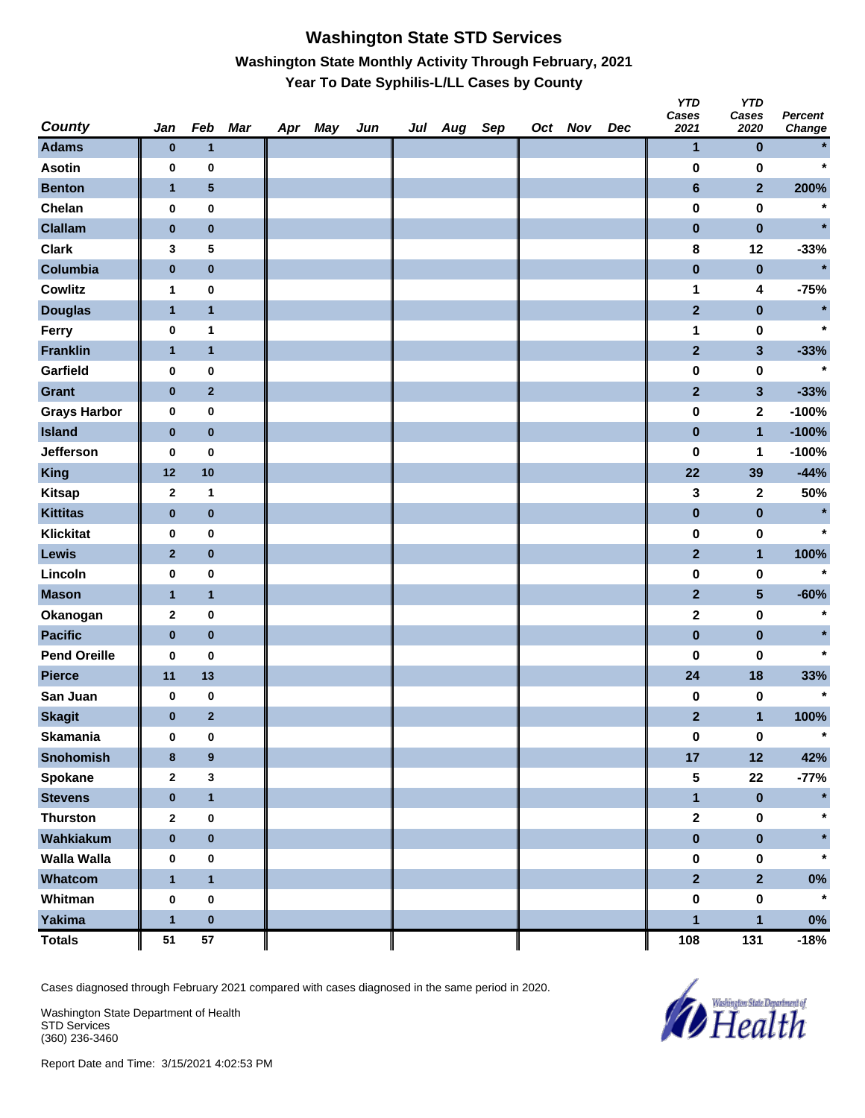### **Washington State STD Services Washington State Monthly Activity Through February, 2021 Year To Date Syphilis-L/LL Cases by County**

| <b>County</b>       | Jan          | Feb              | Mar | Apr May | Jun | Jul Aug Sep |  | Oct Nov | Dec | טוץ<br>Cases<br>2021 | טוץ<br>Cases<br>2020    | <b>Percent</b><br>Change |
|---------------------|--------------|------------------|-----|---------|-----|-------------|--|---------|-----|----------------------|-------------------------|--------------------------|
| <b>Adams</b>        | $\pmb{0}$    | $\mathbf{1}$     |     |         |     |             |  |         |     | 1                    | $\pmb{0}$               |                          |
| <b>Asotin</b>       | 0            | 0                |     |         |     |             |  |         |     | $\bf{0}$             | 0                       | $\star$                  |
| <b>Benton</b>       | $\mathbf{1}$ | 5                |     |         |     |             |  |         |     | $\bf 6$              | $\overline{2}$          | 200%                     |
| Chelan              | 0            | $\pmb{0}$        |     |         |     |             |  |         |     | $\pmb{0}$            | $\pmb{0}$               | $\star$                  |
| <b>Clallam</b>      | $\pmb{0}$    | $\bf{0}$         |     |         |     |             |  |         |     | $\pmb{0}$            | $\pmb{0}$               | $\star$                  |
| <b>Clark</b>        | 3            | 5                |     |         |     |             |  |         |     | 8                    | 12                      | $-33%$                   |
| Columbia            | $\pmb{0}$    | $\bf{0}$         |     |         |     |             |  |         |     | $\pmb{0}$            | $\bf{0}$                | $\star$                  |
| Cowlitz             | 1            | $\pmb{0}$        |     |         |     |             |  |         |     | 1                    | 4                       | $-75%$                   |
| <b>Douglas</b>      | $\mathbf{1}$ | $\mathbf{1}$     |     |         |     |             |  |         |     | $\mathbf{2}$         | $\pmb{0}$               | $\star$                  |
| Ferry               | $\pmb{0}$    | $\mathbf 1$      |     |         |     |             |  |         |     | 1                    | $\pmb{0}$               | $\star$                  |
| <b>Franklin</b>     | $\mathbf{1}$ | $\mathbf{1}$     |     |         |     |             |  |         |     | $\mathbf{2}$         | $\mathbf{3}$            | $-33%$                   |
| Garfield            | 0            | $\pmb{0}$        |     |         |     |             |  |         |     | $\pmb{0}$            | 0                       |                          |
| <b>Grant</b>        | $\pmb{0}$    | $\mathbf 2$      |     |         |     |             |  |         |     | $\mathbf{2}$         | $\mathbf{3}$            | $-33%$                   |
| <b>Grays Harbor</b> | 0            | $\pmb{0}$        |     |         |     |             |  |         |     | $\pmb{0}$            | $\mathbf 2$             | $-100%$                  |
| <b>Island</b>       | $\bf{0}$     | $\bf{0}$         |     |         |     |             |  |         |     | $\pmb{0}$            | $\mathbf{1}$            | $-100%$                  |
| Jefferson           | 0            | 0                |     |         |     |             |  |         |     | $\bf{0}$             | 1                       | $-100%$                  |
| King                | 12           | 10               |     |         |     |             |  |         |     | 22                   | 39                      | $-44%$                   |
| <b>Kitsap</b>       | $\mathbf{2}$ | 1                |     |         |     |             |  |         |     | 3                    | 2                       | 50%                      |
| <b>Kittitas</b>     | $\pmb{0}$    | $\pmb{0}$        |     |         |     |             |  |         |     | $\pmb{0}$            | $\pmb{0}$               | $\star$                  |
| <b>Klickitat</b>    | 0            | $\pmb{0}$        |     |         |     |             |  |         |     | $\pmb{0}$            | $\pmb{0}$               | $\star$                  |
| Lewis               | $\mathbf{2}$ | $\pmb{0}$        |     |         |     |             |  |         |     | $\mathbf{2}$         | $\mathbf{1}$            | 100%                     |
| Lincoln             | 0            | $\pmb{0}$        |     |         |     |             |  |         |     | $\pmb{0}$            | 0                       | $\star$                  |
| <b>Mason</b>        | $\mathbf{1}$ | $\mathbf{1}$     |     |         |     |             |  |         |     | $\mathbf{2}$         | $\overline{\mathbf{5}}$ | $-60%$                   |
| Okanogan            | 2            | $\pmb{0}$        |     |         |     |             |  |         |     | $\mathbf 2$          | $\pmb{0}$               | $\star$                  |
| <b>Pacific</b>      | $\pmb{0}$    | $\bf{0}$         |     |         |     |             |  |         |     | $\pmb{0}$            | $\pmb{0}$               |                          |
| <b>Pend Oreille</b> | 0            | 0                |     |         |     |             |  |         |     | $\bf{0}$             | 0                       |                          |
| <b>Pierce</b>       | 11           | 13               |     |         |     |             |  |         |     | 24                   | 18                      | 33%                      |
| San Juan            | 0            | 0                |     |         |     |             |  |         |     | 0                    | 0                       | $\star$                  |
| <b>Skagit</b>       | $\bf{0}$     | $\mathbf{2}$     |     |         |     |             |  |         |     | $\mathbf{2}$         | $\mathbf{1}$            | 100%                     |
| <b>Skamania</b>     | 0            | $\pmb{0}$        |     |         |     |             |  |         |     | $\pmb{0}$            | $\boldsymbol{0}$        | $\star$                  |
| <b>Snohomish</b>    | 8            | $\boldsymbol{9}$ |     |         |     |             |  |         |     | 17                   | 12                      | 42%                      |
| Spokane             | $\mathbf{2}$ | $\mathbf{3}$     |     |         |     |             |  |         |     | ${\bf 5}$            | ${\bf 22}$              | $-77%$                   |
| <b>Stevens</b>      | $\pmb{0}$    | $\mathbf{1}$     |     |         |     |             |  |         |     | $\mathbf{1}$         | $\pmb{0}$               |                          |
| <b>Thurston</b>     | $\mathbf{2}$ | $\pmb{0}$        |     |         |     |             |  |         |     | $\mathbf 2$          | $\pmb{0}$               | $\star$                  |
| Wahkiakum           | $\pmb{0}$    | $\pmb{0}$        |     |         |     |             |  |         |     | $\pmb{0}$            | $\pmb{0}$               | $\star$                  |
| <b>Walla Walla</b>  | 0            | $\pmb{0}$        |     |         |     |             |  |         |     | $\pmb{0}$            | $\mathbf 0$             | $\star$                  |
| Whatcom             | $\mathbf{1}$ | $\mathbf{1}$     |     |         |     |             |  |         |     | $\overline{2}$       | $\overline{2}$          | $0\%$                    |
| Whitman             | $\pmb{0}$    | $\pmb{0}$        |     |         |     |             |  |         |     | $\pmb{0}$            | $\pmb{0}$               | $\star$                  |
| Yakima              | $\mathbf{1}$ | $\pmb{0}$        |     |         |     |             |  |         |     | $\mathbf{1}$         | $\mathbf{1}$            | $0\%$                    |
| <b>Totals</b>       | 51           | ${\bf 57}$       |     |         |     |             |  |         |     | 108                  | 131                     | $-18%$                   |

Cases diagnosed through February 2021 compared with cases diagnosed in the same period in 2020.

Washington State Department of Health STD Services (360) 236-3460



*Y* 

*YTD*